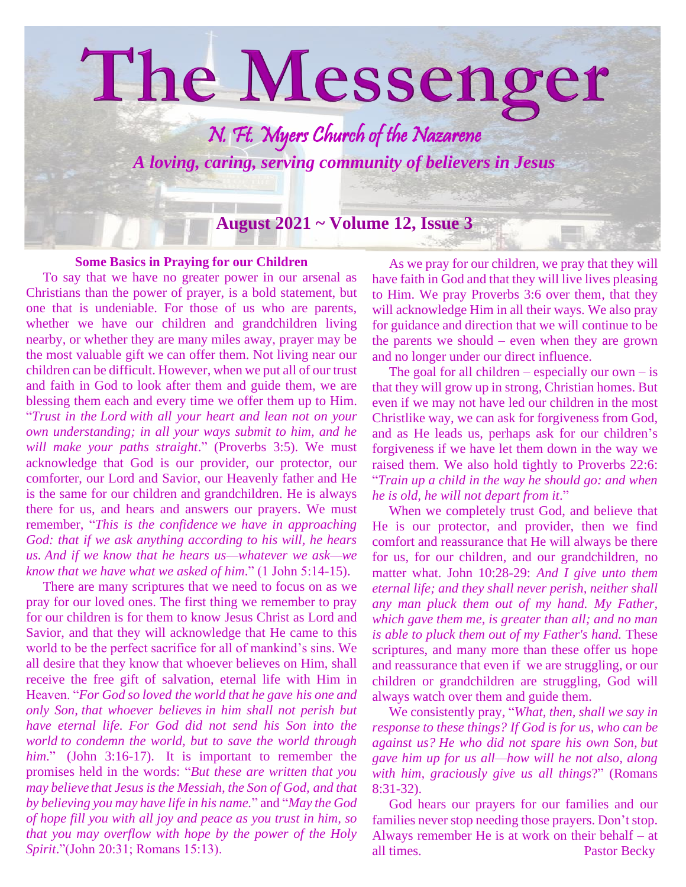

**Some Basics in Praying for our Children**

 To say that we have no greater power in our arsenal as Christians than the power of prayer, is a bold statement, but one that is undeniable. For those of us who are parents, whether we have our children and grandchildren living nearby, or whether they are many miles away, prayer may be the most valuable gift we can offer them. Not living near our children can be difficult. However, when we put all of our trust and faith in God to look after them and guide them, we are blessing them each and every time we offer them up to Him. "*Trust in the Lord with all your heart and lean not on your own understanding; in all your ways submit to him, and he will make your paths straight*." (Proverbs 3:5). We must acknowledge that God is our provider, our protector, our comforter, our Lord and Savior, our Heavenly father and He is the same for our children and grandchildren. He is always there for us, and hears and answers our prayers. We must remember, "*This is the confidence we have in approaching God: that if we ask anything according to his will, he hears us. And if we know that he hears us—whatever we ask—we know that we have what we asked of him*." (1 John 5:14-15).

 There are many scriptures that we need to focus on as we pray for our loved ones. The first thing we remember to pray for our children is for them to know Jesus Christ as Lord and Savior, and that they will acknowledge that He came to this world to be the perfect sacrifice for all of mankind's sins. We all desire that they know that whoever believes on Him, shall receive the free gift of salvation, eternal life with Him in Heaven. "*For God so loved the world that he gave his one and only Son, that whoever believes in him shall not perish but have eternal life. For God did not send his Son into the world to condemn the world, but to save the world through him*." (John 3:16-17). It is important to remember the promises held in the words: "*But these are written that you may believe that Jesus is the Messiah, the Son of God, and that by believing you may have life in his name.*" and "*May the God of hope fill you with all joy and peace as you trust in him, so that you may overflow with hope by the power of the Holy Spirit*."(John 20:31; Romans 15:13).

 As we pray for our children, we pray that they will have faith in God and that they will live lives pleasing to Him. We pray Proverbs 3:6 over them, that they will acknowledge Him in all their ways. We also pray for guidance and direction that we will continue to be the parents we should – even when they are grown and no longer under our direct influence.

The goal for all children – especially our own – is that they will grow up in strong, Christian homes. But even if we may not have led our children in the most Christlike way, we can ask for forgiveness from God, and as He leads us, perhaps ask for our children's forgiveness if we have let them down in the way we raised them. We also hold tightly to Proverbs 22:6: "*Train up a child in the way he should go: and when he is old, he will not depart from it*."

 When we completely trust God, and believe that He is our protector, and provider, then we find comfort and reassurance that He will always be there for us, for our children, and our grandchildren, no matter what. John 10:28-29: *And I give unto them eternal life; and they shall never perish, neither shall any man pluck them out of my hand. My Father, which gave them me, is greater than all; and no man is able to pluck them out of my Father's hand.* These scriptures, and many more than these offer us hope and reassurance that even if we are struggling, or our children or grandchildren are struggling, God will always watch over them and guide them.

 We consistently pray, "*What, then, shall we say in response to these things? If God is for us, who can be against us? He who did not spare his own Son, but gave him up for us all—how will he not also, along with him, graciously give us all things*?" (Romans 8:31-32).

 God hears our prayers for our families and our families never stop needing those prayers. Don't stop. Always remember He is at work on their behalf – at all times. Pastor Becky